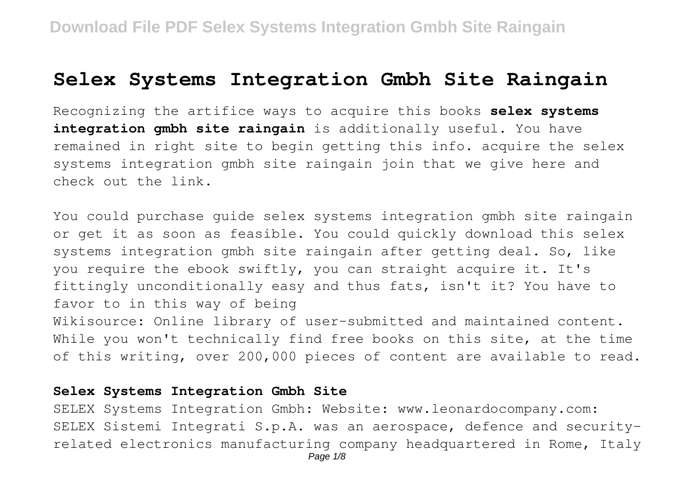## **Selex Systems Integration Gmbh Site Raingain**

Recognizing the artifice ways to acquire this books **selex systems integration gmbh site raingain** is additionally useful. You have remained in right site to begin getting this info. acquire the selex systems integration gmbh site raingain join that we give here and check out the link.

You could purchase guide selex systems integration gmbh site raingain or get it as soon as feasible. You could quickly download this selex systems integration gmbh site raingain after getting deal. So, like you require the ebook swiftly, you can straight acquire it. It's fittingly unconditionally easy and thus fats, isn't it? You have to favor to in this way of being

Wikisource: Online library of user-submitted and maintained content. While you won't technically find free books on this site, at the time of this writing, over 200,000 pieces of content are available to read.

## **Selex Systems Integration Gmbh Site**

SELEX Systems Integration Gmbh: Website: www.leonardocompany.com: SELEX Sistemi Integrati S.p.A. was an aerospace, defence and securityrelated electronics manufacturing company headquartered in Rome, Italy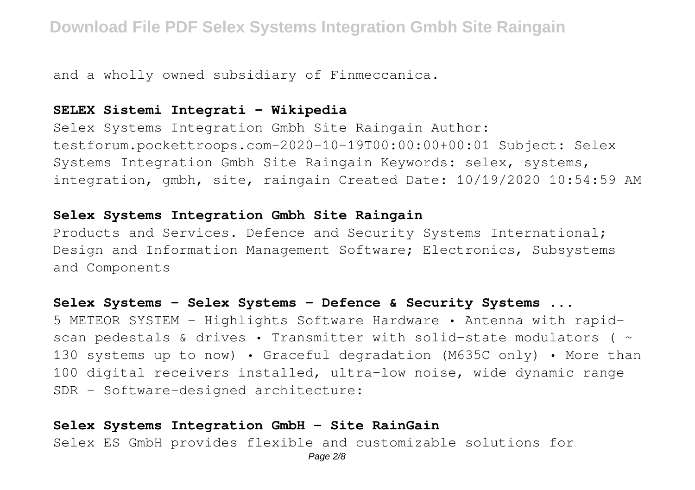and a wholly owned subsidiary of Finmeccanica.

## **SELEX Sistemi Integrati - Wikipedia**

Selex Systems Integration Gmbh Site Raingain Author: testforum.pockettroops.com-2020-10-19T00:00:00+00:01 Subject: Selex Systems Integration Gmbh Site Raingain Keywords: selex, systems, integration, gmbh, site, raingain Created Date: 10/19/2020 10:54:59 AM

## **Selex Systems Integration Gmbh Site Raingain**

Products and Services. Defence and Security Systems International; Design and Information Management Software; Electronics, Subsystems and Components

## **Selex Systems - Selex Systems - Defence & Security Systems ...**

5 METEOR SYSTEM - Highlights Software Hardware • Antenna with rapidscan pedestals & drives • Transmitter with solid-state modulators ( $\sim$ 130 systems up to now) • Graceful degradation (M635C only) • More than 100 digital receivers installed, ultra-low noise, wide dynamic range SDR - Software-designed architecture:

## **Selex Systems Integration GmbH - Site RainGain**

Selex ES GmbH provides flexible and customizable solutions for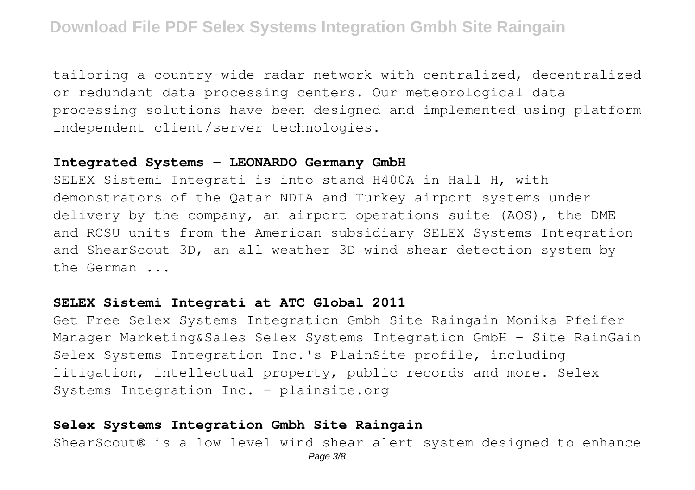tailoring a country-wide radar network with centralized, decentralized or redundant data processing centers. Our meteorological data processing solutions have been designed and implemented using platform independent client/server technologies.

#### **Integrated Systems - LEONARDO Germany GmbH**

SELEX Sistemi Integrati is into stand H400A in Hall H, with demonstrators of the Qatar NDIA and Turkey airport systems under delivery by the company, an airport operations suite (AOS), the DME and RCSU units from the American subsidiary SELEX Systems Integration and ShearScout 3D, an all weather 3D wind shear detection system by the German ...

## **SELEX Sistemi Integrati at ATC Global 2011**

Get Free Selex Systems Integration Gmbh Site Raingain Monika Pfeifer Manager Marketing&Sales Selex Systems Integration GmbH - Site RainGain Selex Systems Integration Inc.'s PlainSite profile, including litigation, intellectual property, public records and more. Selex Systems Integration Inc. - plainsite.org

## **Selex Systems Integration Gmbh Site Raingain**

ShearScout® is a low level wind shear alert system designed to enhance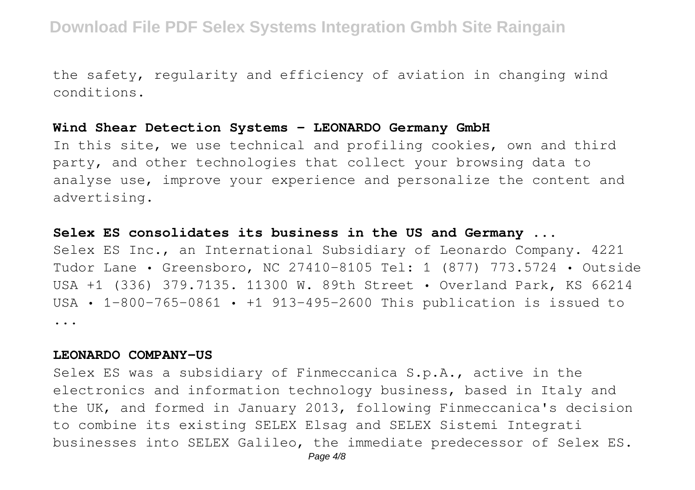the safety, regularity and efficiency of aviation in changing wind conditions.

#### **Wind Shear Detection Systems - LEONARDO Germany GmbH**

In this site, we use technical and profiling cookies, own and third party, and other technologies that collect your browsing data to analyse use, improve your experience and personalize the content and advertising.

#### **Selex ES consolidates its business in the US and Germany ...**

Selex ES Inc., an International Subsidiary of Leonardo Company. 4221 Tudor Lane • Greensboro, NC 27410-8105 Tel: 1 (877) 773.5724 • Outside USA +1 (336) 379.7135. 11300 W. 89th Street • Overland Park, KS 66214 USA • 1-800-765-0861 • +1 913-495-2600 This publication is issued to ...

#### **LEONARDO COMPANY-US**

Selex ES was a subsidiary of Finmeccanica S.p.A., active in the electronics and information technology business, based in Italy and the UK, and formed in January 2013, following Finmeccanica's decision to combine its existing SELEX Elsag and SELEX Sistemi Integrati businesses into SELEX Galileo, the immediate predecessor of Selex ES.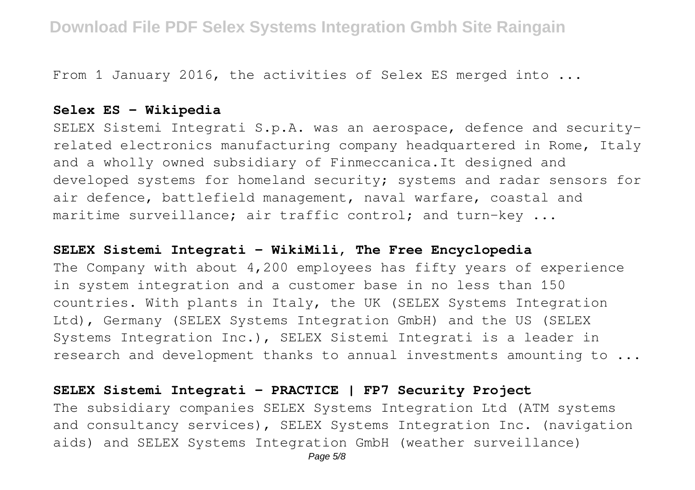From 1 January 2016, the activities of Selex ES merged into ...

## **Selex ES - Wikipedia**

SELEX Sistemi Integrati S.p.A. was an aerospace, defence and securityrelated electronics manufacturing company headquartered in Rome, Italy and a wholly owned subsidiary of Finmeccanica.It designed and developed systems for homeland security; systems and radar sensors for air defence, battlefield management, naval warfare, coastal and maritime surveillance; air traffic control; and turn-key ...

#### **SELEX Sistemi Integrati - WikiMili, The Free Encyclopedia**

The Company with about 4,200 employees has fifty years of experience in system integration and a customer base in no less than 150 countries. With plants in Italy, the UK (SELEX Systems Integration Ltd), Germany (SELEX Systems Integration GmbH) and the US (SELEX Systems Integration Inc.), SELEX Sistemi Integrati is a leader in research and development thanks to annual investments amounting to ...

## **SELEX Sistemi Integrati - PRACTICE | FP7 Security Project**

The subsidiary companies SELEX Systems Integration Ltd (ATM systems and consultancy services), SELEX Systems Integration Inc. (navigation aids) and SELEX Systems Integration GmbH (weather surveillance)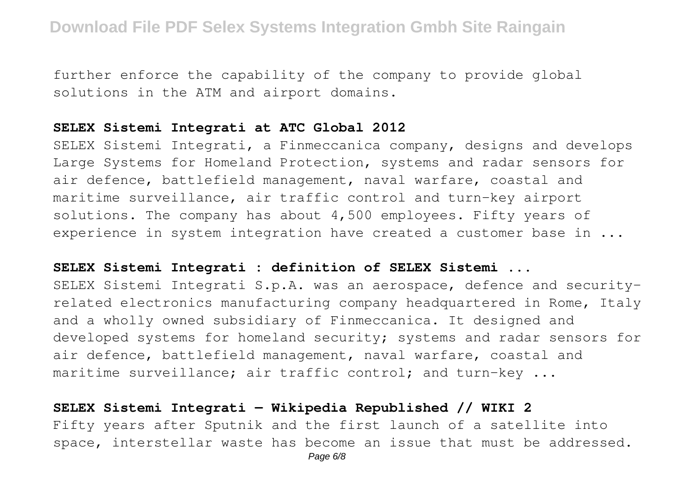further enforce the capability of the company to provide global solutions in the ATM and airport domains.

#### **SELEX Sistemi Integrati at ATC Global 2012**

SELEX Sistemi Integrati, a Finmeccanica company, designs and develops Large Systems for Homeland Protection, systems and radar sensors for air defence, battlefield management, naval warfare, coastal and maritime surveillance, air traffic control and turn-key airport solutions. The company has about 4,500 employees. Fifty years of experience in system integration have created a customer base in ...

#### **SELEX Sistemi Integrati : definition of SELEX Sistemi ...**

SELEX Sistemi Integrati S.p.A. was an aerospace, defence and securityrelated electronics manufacturing company headquartered in Rome, Italy and a wholly owned subsidiary of Finmeccanica. It designed and developed systems for homeland security; systems and radar sensors for air defence, battlefield management, naval warfare, coastal and maritime surveillance; air traffic control; and turn-key ...

## **SELEX Sistemi Integrati — Wikipedia Republished // WIKI 2**

Fifty years after Sputnik and the first launch of a satellite into space, interstellar waste has become an issue that must be addressed.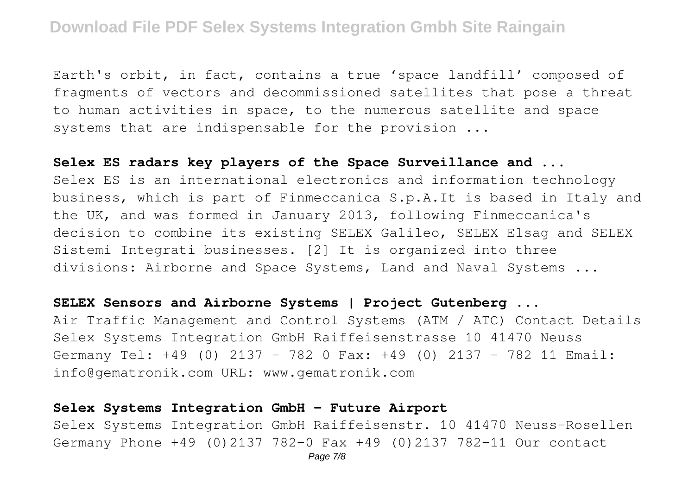Earth's orbit, in fact, contains a true 'space landfill' composed of fragments of vectors and decommissioned satellites that pose a threat to human activities in space, to the numerous satellite and space systems that are indispensable for the provision ...

#### **Selex ES radars key players of the Space Surveillance and ...**

Selex ES is an international electronics and information technology business, which is part of Finmeccanica S.p.A.It is based in Italy and the UK, and was formed in January 2013, following Finmeccanica's decision to combine its existing SELEX Galileo, SELEX Elsag and SELEX Sistemi Integrati businesses. [2] It is organized into three divisions: Airborne and Space Systems, Land and Naval Systems ...

## **SELEX Sensors and Airborne Systems | Project Gutenberg ...**

Air Traffic Management and Control Systems (ATM / ATC) Contact Details Selex Systems Integration GmbH Raiffeisenstrasse 10 41470 Neuss Germany Tel: +49 (0) 2137 – 782 0 Fax: +49 (0) 2137 – 782 11 Email: info@gematronik.com URL: www.gematronik.com

#### **Selex Systems Integration GmbH - Future Airport**

Selex Systems Integration GmbH Raiffeisenstr. 10 41470 Neuss-Rosellen Germany Phone +49 (0)2137 782-0 Fax +49 (0)2137 782-11 Our contact